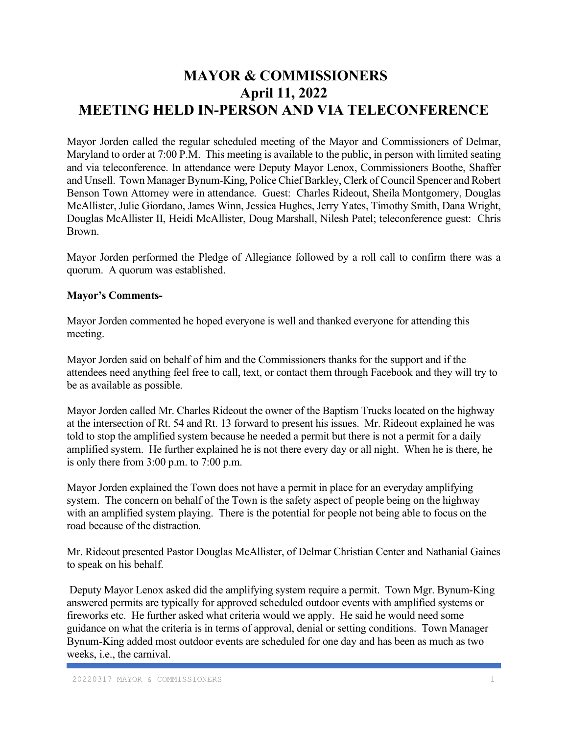# MAYOR & COMMISSIONERS April 11, 2022 MEETING HELD IN-PERSON AND VIA TELECONFERENCE

Mayor Jorden called the regular scheduled meeting of the Mayor and Commissioners of Delmar, Maryland to order at 7:00 P.M. This meeting is available to the public, in person with limited seating and via teleconference. In attendance were Deputy Mayor Lenox, Commissioners Boothe, Shaffer and Unsell. Town Manager Bynum-King, Police Chief Barkley, Clerk of Council Spencer and Robert Benson Town Attorney were in attendance. Guest: Charles Rideout, Sheila Montgomery, Douglas McAllister, Julie Giordano, James Winn, Jessica Hughes, Jerry Yates, Timothy Smith, Dana Wright, Douglas McAllister II, Heidi McAllister, Doug Marshall, Nilesh Patel; teleconference guest: Chris Brown.

Mayor Jorden performed the Pledge of Allegiance followed by a roll call to confirm there was a quorum. A quorum was established.

## Mayor's Comments-

Mayor Jorden commented he hoped everyone is well and thanked everyone for attending this meeting.

Mayor Jorden said on behalf of him and the Commissioners thanks for the support and if the attendees need anything feel free to call, text, or contact them through Facebook and they will try to be as available as possible.

Mayor Jorden called Mr. Charles Rideout the owner of the Baptism Trucks located on the highway at the intersection of Rt. 54 and Rt. 13 forward to present his issues. Mr. Rideout explained he was told to stop the amplified system because he needed a permit but there is not a permit for a daily amplified system. He further explained he is not there every day or all night. When he is there, he is only there from 3:00 p.m. to 7:00 p.m.

Mayor Jorden explained the Town does not have a permit in place for an everyday amplifying system. The concern on behalf of the Town is the safety aspect of people being on the highway with an amplified system playing. There is the potential for people not being able to focus on the road because of the distraction.

Mr. Rideout presented Pastor Douglas McAllister, of Delmar Christian Center and Nathanial Gaines to speak on his behalf.

 Deputy Mayor Lenox asked did the amplifying system require a permit. Town Mgr. Bynum-King answered permits are typically for approved scheduled outdoor events with amplified systems or fireworks etc. He further asked what criteria would we apply. He said he would need some guidance on what the criteria is in terms of approval, denial or setting conditions. Town Manager Bynum-King added most outdoor events are scheduled for one day and has been as much as two weeks, i.e., the carnival.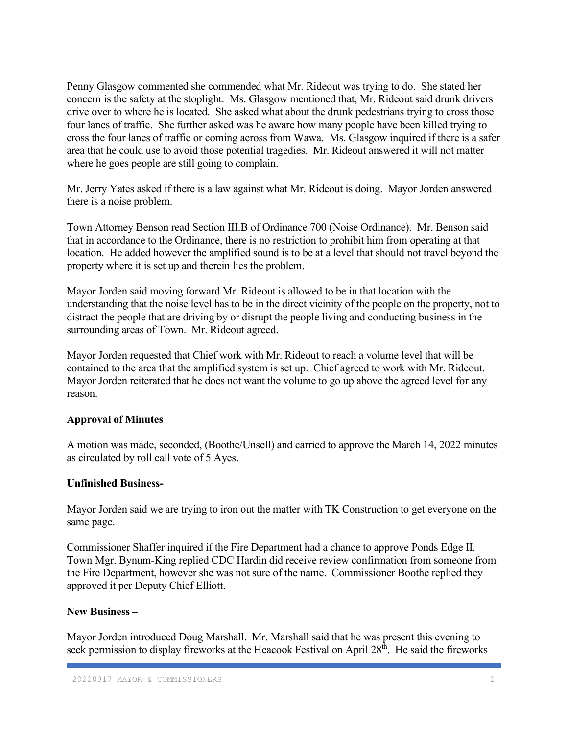Penny Glasgow commented she commended what Mr. Rideout was trying to do. She stated her concern is the safety at the stoplight. Ms. Glasgow mentioned that, Mr. Rideout said drunk drivers drive over to where he is located. She asked what about the drunk pedestrians trying to cross those four lanes of traffic. She further asked was he aware how many people have been killed trying to cross the four lanes of traffic or coming across from Wawa. Ms. Glasgow inquired if there is a safer area that he could use to avoid those potential tragedies. Mr. Rideout answered it will not matter where he goes people are still going to complain.

Mr. Jerry Yates asked if there is a law against what Mr. Rideout is doing. Mayor Jorden answered there is a noise problem.

Town Attorney Benson read Section III.B of Ordinance 700 (Noise Ordinance). Mr. Benson said that in accordance to the Ordinance, there is no restriction to prohibit him from operating at that location. He added however the amplified sound is to be at a level that should not travel beyond the property where it is set up and therein lies the problem.

Mayor Jorden said moving forward Mr. Rideout is allowed to be in that location with the understanding that the noise level has to be in the direct vicinity of the people on the property, not to distract the people that are driving by or disrupt the people living and conducting business in the surrounding areas of Town. Mr. Rideout agreed.

Mayor Jorden requested that Chief work with Mr. Rideout to reach a volume level that will be contained to the area that the amplified system is set up. Chief agreed to work with Mr. Rideout. Mayor Jorden reiterated that he does not want the volume to go up above the agreed level for any reason.

## Approval of Minutes

A motion was made, seconded, (Boothe/Unsell) and carried to approve the March 14, 2022 minutes as circulated by roll call vote of 5 Ayes.

#### Unfinished Business-

Mayor Jorden said we are trying to iron out the matter with TK Construction to get everyone on the same page.

Commissioner Shaffer inquired if the Fire Department had a chance to approve Ponds Edge II. Town Mgr. Bynum-King replied CDC Hardin did receive review confirmation from someone from the Fire Department, however she was not sure of the name. Commissioner Boothe replied they approved it per Deputy Chief Elliott.

#### New Business –

Mayor Jorden introduced Doug Marshall. Mr. Marshall said that he was present this evening to seek permission to display fireworks at the Heacook Festival on April 28<sup>th</sup>. He said the fireworks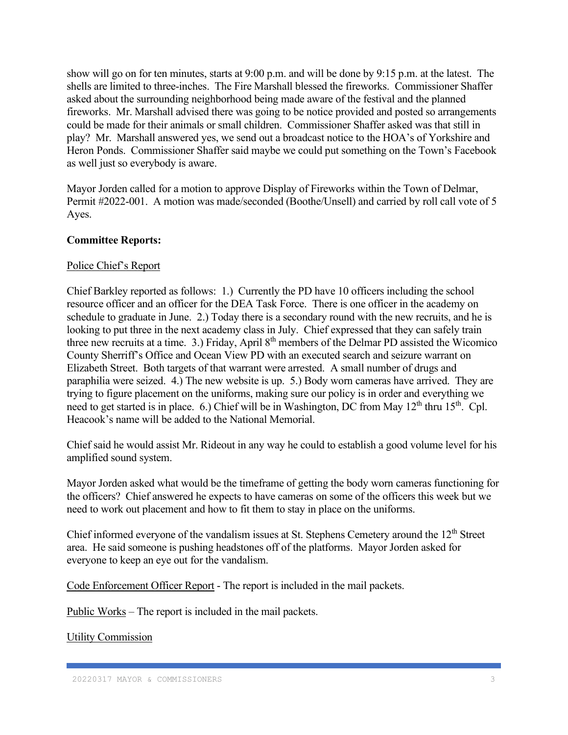show will go on for ten minutes, starts at 9:00 p.m. and will be done by 9:15 p.m. at the latest. The shells are limited to three-inches. The Fire Marshall blessed the fireworks. Commissioner Shaffer asked about the surrounding neighborhood being made aware of the festival and the planned fireworks. Mr. Marshall advised there was going to be notice provided and posted so arrangements could be made for their animals or small children. Commissioner Shaffer asked was that still in play? Mr. Marshall answered yes, we send out a broadcast notice to the HOA's of Yorkshire and Heron Ponds. Commissioner Shaffer said maybe we could put something on the Town's Facebook as well just so everybody is aware.

Mayor Jorden called for a motion to approve Display of Fireworks within the Town of Delmar, Permit #2022-001. A motion was made/seconded (Boothe/Unsell) and carried by roll call vote of 5 Ayes.

# Committee Reports:

## Police Chief's Report

Chief Barkley reported as follows: 1.) Currently the PD have 10 officers including the school resource officer and an officer for the DEA Task Force. There is one officer in the academy on schedule to graduate in June. 2.) Today there is a secondary round with the new recruits, and he is looking to put three in the next academy class in July. Chief expressed that they can safely train three new recruits at a time. 3.) Friday, April 8<sup>th</sup> members of the Delmar PD assisted the Wicomico County Sherriff's Office and Ocean View PD with an executed search and seizure warrant on Elizabeth Street. Both targets of that warrant were arrested. A small number of drugs and paraphilia were seized. 4.) The new website is up. 5.) Body worn cameras have arrived. They are trying to figure placement on the uniforms, making sure our policy is in order and everything we need to get started is in place. 6.) Chief will be in Washington, DC from May  $12<sup>th</sup>$  thru  $15<sup>th</sup>$ . Cpl. Heacook's name will be added to the National Memorial.

Chief said he would assist Mr. Rideout in any way he could to establish a good volume level for his amplified sound system.

Mayor Jorden asked what would be the timeframe of getting the body worn cameras functioning for the officers? Chief answered he expects to have cameras on some of the officers this week but we need to work out placement and how to fit them to stay in place on the uniforms.

Chief informed everyone of the vandalism issues at St. Stephens Cemetery around the 12<sup>th</sup> Street area. He said someone is pushing headstones off of the platforms. Mayor Jorden asked for everyone to keep an eye out for the vandalism.

Code Enforcement Officer Report - The report is included in the mail packets.

Public Works – The report is included in the mail packets.

Utility Commission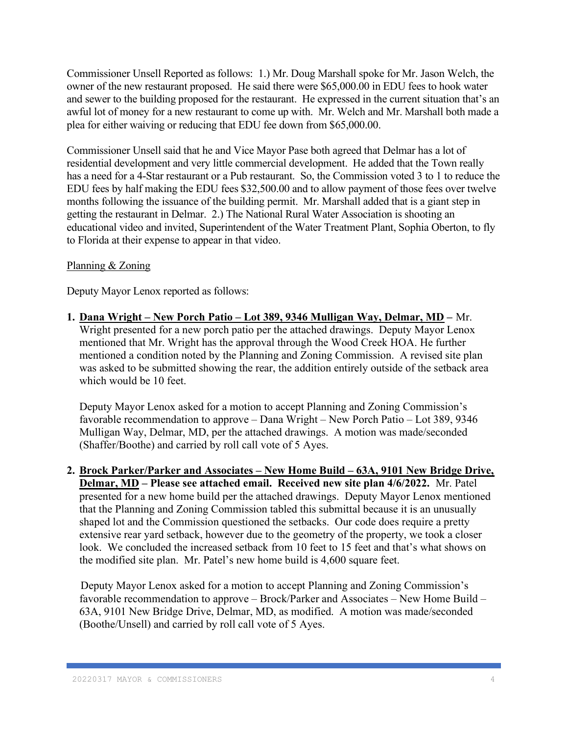Commissioner Unsell Reported as follows: 1.) Mr. Doug Marshall spoke for Mr. Jason Welch, the owner of the new restaurant proposed. He said there were \$65,000.00 in EDU fees to hook water and sewer to the building proposed for the restaurant. He expressed in the current situation that's an awful lot of money for a new restaurant to come up with. Mr. Welch and Mr. Marshall both made a plea for either waiving or reducing that EDU fee down from \$65,000.00.

Commissioner Unsell said that he and Vice Mayor Pase both agreed that Delmar has a lot of residential development and very little commercial development. He added that the Town really has a need for a 4-Star restaurant or a Pub restaurant. So, the Commission voted 3 to 1 to reduce the EDU fees by half making the EDU fees \$32,500.00 and to allow payment of those fees over twelve months following the issuance of the building permit. Mr. Marshall added that is a giant step in getting the restaurant in Delmar. 2.) The National Rural Water Association is shooting an educational video and invited, Superintendent of the Water Treatment Plant, Sophia Oberton, to fly to Florida at their expense to appear in that video.

## Planning & Zoning

Deputy Mayor Lenox reported as follows:

1. Dana Wright – New Porch Patio – Lot 389, 9346 Mulligan Way, Delmar, MD – Mr. Wright presented for a new porch patio per the attached drawings. Deputy Mayor Lenox mentioned that Mr. Wright has the approval through the Wood Creek HOA. He further mentioned a condition noted by the Planning and Zoning Commission. A revised site plan was asked to be submitted showing the rear, the addition entirely outside of the setback area which would be 10 feet.

Deputy Mayor Lenox asked for a motion to accept Planning and Zoning Commission's favorable recommendation to approve – Dana Wright – New Porch Patio – Lot 389, 9346 Mulligan Way, Delmar, MD, per the attached drawings. A motion was made/seconded (Shaffer/Boothe) and carried by roll call vote of 5 Ayes.

2. Brock Parker/Parker and Associates – New Home Build – 63A, 9101 New Bridge Drive, Delmar, MD – Please see attached email. Received new site plan 4/6/2022. Mr. Patel presented for a new home build per the attached drawings. Deputy Mayor Lenox mentioned that the Planning and Zoning Commission tabled this submittal because it is an unusually shaped lot and the Commission questioned the setbacks. Our code does require a pretty extensive rear yard setback, however due to the geometry of the property, we took a closer look. We concluded the increased setback from 10 feet to 15 feet and that's what shows on the modified site plan. Mr. Patel's new home build is 4,600 square feet.

 Deputy Mayor Lenox asked for a motion to accept Planning and Zoning Commission's favorable recommendation to approve – Brock/Parker and Associates – New Home Build – 63A, 9101 New Bridge Drive, Delmar, MD, as modified. A motion was made/seconded (Boothe/Unsell) and carried by roll call vote of 5 Ayes.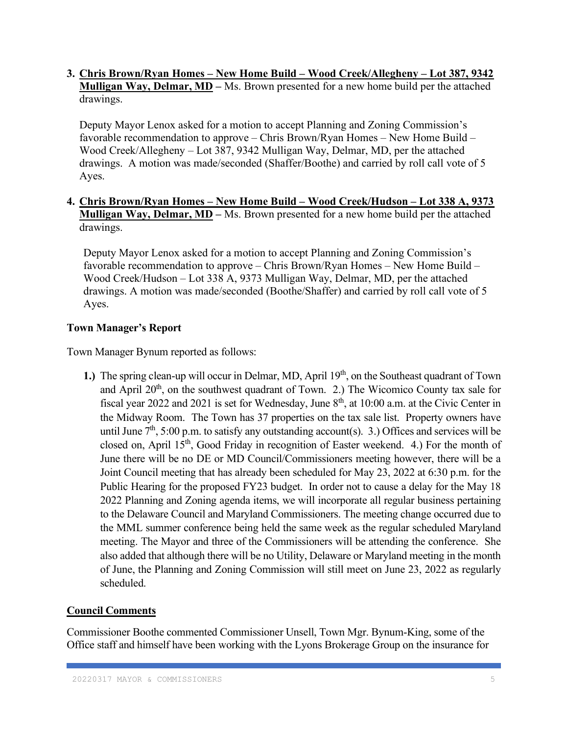## 3. Chris Brown/Ryan Homes – New Home Build – Wood Creek/Allegheny – Lot 387, 9342 Mulligan Way, Delmar, MD – Ms. Brown presented for a new home build per the attached drawings.

Deputy Mayor Lenox asked for a motion to accept Planning and Zoning Commission's favorable recommendation to approve – Chris Brown/Ryan Homes – New Home Build – Wood Creek/Allegheny – Lot 387, 9342 Mulligan Way, Delmar, MD, per the attached drawings. A motion was made/seconded (Shaffer/Boothe) and carried by roll call vote of 5 Ayes.

# 4. Chris Brown/Ryan Homes – New Home Build – Wood Creek/Hudson – Lot 338 A, 9373 Mulligan Way, Delmar, MD – Ms. Brown presented for a new home build per the attached drawings.

Deputy Mayor Lenox asked for a motion to accept Planning and Zoning Commission's favorable recommendation to approve – Chris Brown/Ryan Homes – New Home Build – Wood Creek/Hudson – Lot 338 A, 9373 Mulligan Way, Delmar, MD, per the attached drawings. A motion was made/seconded (Boothe/Shaffer) and carried by roll call vote of 5 Ayes.

# Town Manager's Report

Town Manager Bynum reported as follows:

1.) The spring clean-up will occur in Delmar, MD, April  $19<sup>th</sup>$ , on the Southeast quadrant of Town and April  $20<sup>th</sup>$ , on the southwest quadrant of Town. 2.) The Wicomico County tax sale for fiscal year 2022 and 2021 is set for Wednesday, June  $8<sup>th</sup>$ , at 10:00 a.m. at the Civic Center in the Midway Room. The Town has 37 properties on the tax sale list. Property owners have until June  $7<sup>th</sup>$ , 5:00 p.m. to satisfy any outstanding account(s). 3.) Offices and services will be closed on, April 15<sup>th</sup>, Good Friday in recognition of Easter weekend. 4.) For the month of June there will be no DE or MD Council/Commissioners meeting however, there will be a Joint Council meeting that has already been scheduled for May 23, 2022 at 6:30 p.m. for the Public Hearing for the proposed FY23 budget. In order not to cause a delay for the May 18 2022 Planning and Zoning agenda items, we will incorporate all regular business pertaining to the Delaware Council and Maryland Commissioners. The meeting change occurred due to the MML summer conference being held the same week as the regular scheduled Maryland meeting. The Mayor and three of the Commissioners will be attending the conference. She also added that although there will be no Utility, Delaware or Maryland meeting in the month of June, the Planning and Zoning Commission will still meet on June 23, 2022 as regularly scheduled.

# Council Comments

Commissioner Boothe commented Commissioner Unsell, Town Mgr. Bynum-King, some of the Office staff and himself have been working with the Lyons Brokerage Group on the insurance for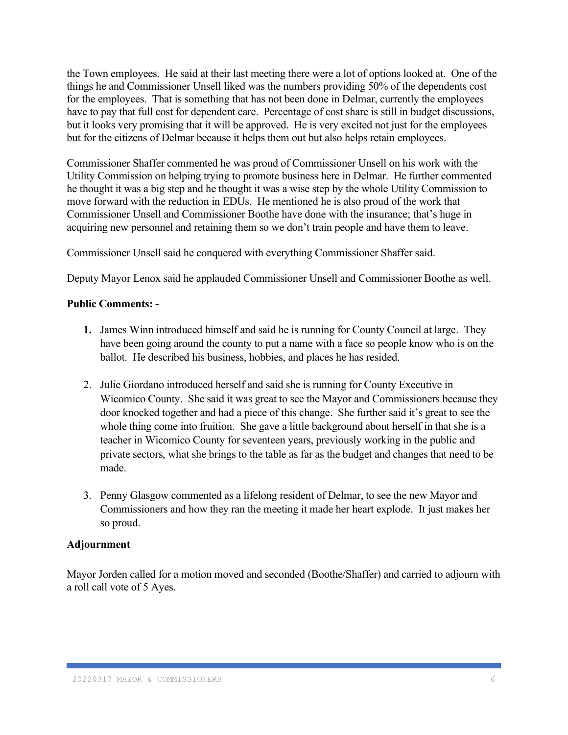the Town employees. He said at their last meeting there were a lot of options looked at. One of the things he and Commissioner Unsell liked was the numbers providing 50% of the dependents cost for the employees. That is something that has not been done in Delmar, currently the employees have to pay that full cost for dependent care. Percentage of cost share is still in budget discussions, but it looks very promising that it will be approved. He is very excited not just for the employees but for the citizens of Delmar because it helps them out but also helps retain employees.

Commissioner Shaffer commented he was proud of Commissioner Unsell on his work with the Utility Commission on helping trying to promote business here in Delmar. He further commented he thought it was a big step and he thought it was a wise step by the whole Utility Commission to move forward with the reduction in EDUs. He mentioned he is also proud of the work that Commissioner Unsell and Commissioner Boothe have done with the insurance; that's huge in acquiring new personnel and retaining them so we don't train people and have them to leave.

Commissioner Unsell said he conquered with everything Commissioner Shaffer said.

Deputy Mayor Lenox said he applauded Commissioner Unsell and Commissioner Boothe as well.

#### Public Comments: -

- 1. James Winn introduced himself and said he is running for County Council at large. They have been going around the county to put a name with a face so people know who is on the ballot. He described his business, hobbies, and places he has resided.
- 2. Julie Giordano introduced herself and said she is running for County Executive in Wicomico County. She said it was great to see the Mayor and Commissioners because they door knocked together and had a piece of this change. She further said it's great to see the whole thing come into fruition. She gave a little background about herself in that she is a teacher in Wicomico County for seventeen years, previously working in the public and private sectors, what she brings to the table as far as the budget and changes that need to be made.
- 3. Penny Glasgow commented as a lifelong resident of Delmar, to see the new Mayor and Commissioners and how they ran the meeting it made her heart explode. It just makes her so proud.

#### Adjournment

Mayor Jorden called for a motion moved and seconded (Boothe/Shaffer) and carried to adjourn with a roll call vote of 5 Ayes.